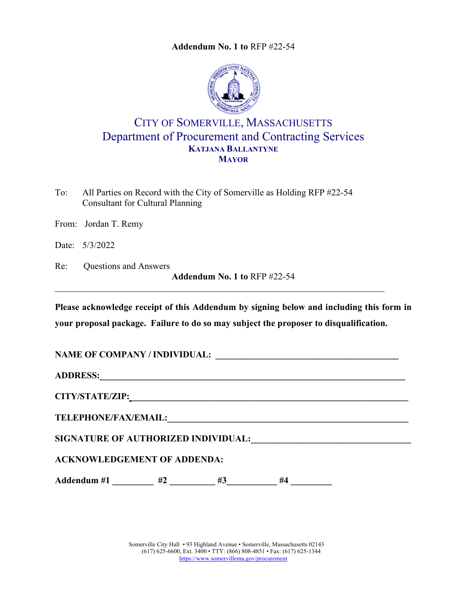**Addendum No. 1 to** RFP #22-54



## CITY OF SOMERVILLE, MASSACHUSETTS Department of Procurement and Contracting Services **KATJANA BALLANTYNE MAYOR**

To: All Parties on Record with the City of Somerville as Holding RFP #22-54 Consultant for Cultural Planning

From: Jordan T. Remy

Date: 5/3/2022

Re: Questions and Answers **Addendum No. 1 to** RFP #22-54

**Please acknowledge receipt of this Addendum by signing below and including this form in your proposal package. Failure to do so may subject the proposer to disqualification.**

**NAME OF COMPANY / INDIVIDUAL: \_\_\_\_\_\_\_\_\_\_\_\_\_\_\_\_\_\_\_\_\_\_\_\_\_\_\_\_\_\_\_\_\_\_\_\_\_\_\_\_\_** 

**ADDRESS: \_\_\_\_\_\_\_\_\_\_\_\_\_\_\_\_\_\_\_\_\_\_\_\_\_\_\_\_\_\_\_\_\_\_\_\_\_\_\_\_\_\_\_\_\_\_\_\_\_\_\_\_\_\_\_\_\_\_\_\_\_\_\_\_\_\_\_\_** 

**CITY/STATE/ZIP: \_\_\_\_\_\_\_\_\_\_\_\_\_\_\_\_\_\_\_\_\_\_\_\_\_\_\_\_\_\_\_\_\_\_\_\_\_\_\_\_\_\_\_\_\_\_\_\_\_\_\_\_\_\_\_\_\_\_\_\_\_\_** 

**TELEPHONE/FAX/EMAIL:\_\_\_\_\_\_\_\_\_\_\_\_\_\_\_\_\_\_\_\_\_\_\_\_\_\_\_\_\_\_\_\_\_\_\_\_\_\_\_\_\_\_\_\_\_\_\_\_\_\_\_\_\_\_**

SIGNATURE OF AUTHORIZED INDIVIDUAL:

## **ACKNOWLEDGEMENT OF ADDENDA:**

Addendum #1 \_\_\_\_\_\_\_\_\_ #2 \_\_\_\_\_\_\_\_ #3 \_\_\_\_\_\_\_ #4 \_\_\_\_\_\_\_\_